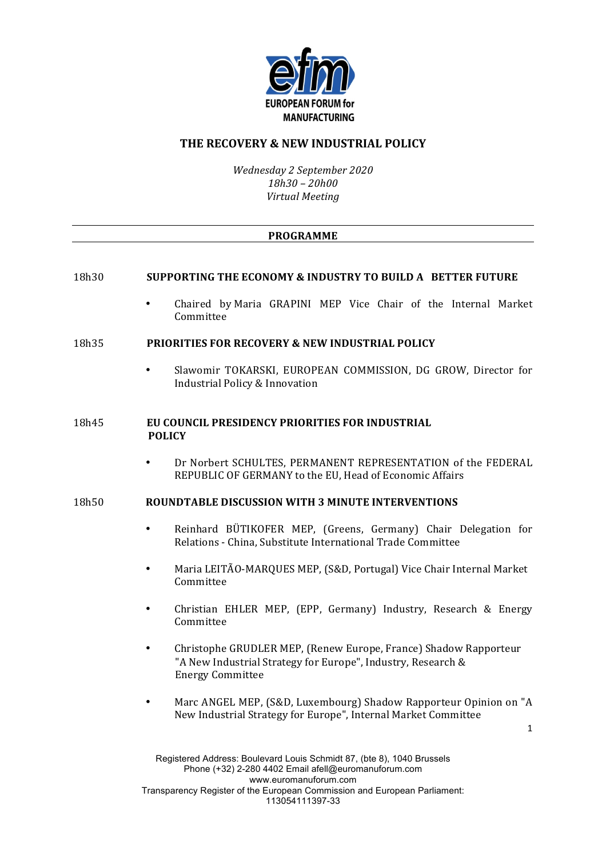

# **THE RECOVERY & NEW INDUSTRIAL POLICY**

*Wednesday 2 September 2020 18h30 – 20h00 Virtual Meeting*

### **PROGRAMME**

### 18h30 **SUPPORTING THE ECONOMY & INDUSTRY TO BUILD A** BETTER FUTURE

Chaired by Maria GRAPINI MEP Vice Chair of the Internal Market Committee

#### 18h35 **PRIORITIES FOR RECOVERY & NEW INDUSTRIAL POLICY**

Slawomir TOKARSKI, EUROPEAN COMMISSION, DG GROW, Director for Industrial Policy & Innovation

### 18h45 **EU COUNCIL PRESIDENCY PRIORITIES FOR INDUSTRIAL POLICY**

Dr Norbert SCHULTES, PERMANENT REPRESENTATION of the FEDERAL REPUBLIC OF GERMANY to the EU. Head of Economic Affairs

## 18h50 **ROUNDTABLE DISCUSSION WITH 3 MINUTE INTERVENTIONS**

- Reinhard BÜTIKOFER MEP, (Greens, Germany) Chair Delegation for Relations - China, Substitute International Trade Committee
- Maria LEITÃO-MARQUES MEP, (S&D, Portugal) Vice Chair Internal Market Committee
- Christian EHLER MEP, (EPP, Germany) Industry, Research & Energy Committee
- Christophe GRUDLER MEP, (Renew Europe, France) Shadow Rapporteur "A New Industrial Strategy for Europe", Industry, Research & Energy Committee
- Marc ANGEL MEP, (S&D, Luxembourg) Shadow Rapporteur Opinion on "A New Industrial Strategy for Europe", Internal Market Committee

1

Registered Address: Boulevard Louis Schmidt 87, (bte 8), 1040 Brussels Phone (+32) 2-280 4402 Email afell@euromanuforum.com www.euromanuforum.com Transparency Register of the European Commission and European Parliament: 113054111397-33